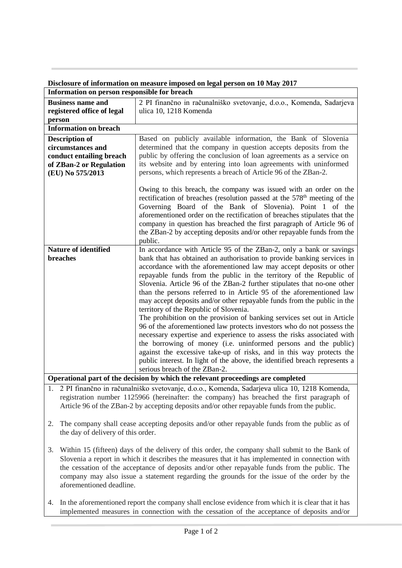| Information on person responsible for breach |                                                                                                                                                                                                                                                                                                                                                                                                                                                                                                                                                                                                                                                                                                                                                                                                                                                                                                                                                                                       |
|----------------------------------------------|---------------------------------------------------------------------------------------------------------------------------------------------------------------------------------------------------------------------------------------------------------------------------------------------------------------------------------------------------------------------------------------------------------------------------------------------------------------------------------------------------------------------------------------------------------------------------------------------------------------------------------------------------------------------------------------------------------------------------------------------------------------------------------------------------------------------------------------------------------------------------------------------------------------------------------------------------------------------------------------|
| <b>Business name and</b>                     | 2 PI finančno in računalniško svetovanje, d.o.o., Komenda, Sadarjeva                                                                                                                                                                                                                                                                                                                                                                                                                                                                                                                                                                                                                                                                                                                                                                                                                                                                                                                  |
| registered office of legal                   | ulica 10, 1218 Komenda                                                                                                                                                                                                                                                                                                                                                                                                                                                                                                                                                                                                                                                                                                                                                                                                                                                                                                                                                                |
| person                                       |                                                                                                                                                                                                                                                                                                                                                                                                                                                                                                                                                                                                                                                                                                                                                                                                                                                                                                                                                                                       |
| <b>Information on breach</b>                 |                                                                                                                                                                                                                                                                                                                                                                                                                                                                                                                                                                                                                                                                                                                                                                                                                                                                                                                                                                                       |
| <b>Description of</b>                        | Based on publicly available information, the Bank of Slovenia                                                                                                                                                                                                                                                                                                                                                                                                                                                                                                                                                                                                                                                                                                                                                                                                                                                                                                                         |
| circumstances and                            | determined that the company in question accepts deposits from the                                                                                                                                                                                                                                                                                                                                                                                                                                                                                                                                                                                                                                                                                                                                                                                                                                                                                                                     |
| conduct entailing breach                     | public by offering the conclusion of loan agreements as a service on                                                                                                                                                                                                                                                                                                                                                                                                                                                                                                                                                                                                                                                                                                                                                                                                                                                                                                                  |
| of ZBan-2 or Regulation                      | its website and by entering into loan agreements with uninformed                                                                                                                                                                                                                                                                                                                                                                                                                                                                                                                                                                                                                                                                                                                                                                                                                                                                                                                      |
| (EU) No 575/2013                             | persons, which represents a breach of Article 96 of the ZBan-2.                                                                                                                                                                                                                                                                                                                                                                                                                                                                                                                                                                                                                                                                                                                                                                                                                                                                                                                       |
|                                              | Owing to this breach, the company was issued with an order on the<br>rectification of breaches (resolution passed at the 578 <sup>th</sup> meeting of the<br>Governing Board of the Bank of Slovenia). Point 1 of the<br>aforementioned order on the rectification of breaches stipulates that the<br>company in question has breached the first paragraph of Article 96 of<br>the ZBan-2 by accepting deposits and/or other repayable funds from the<br>public.                                                                                                                                                                                                                                                                                                                                                                                                                                                                                                                      |
| <b>Nature of identified</b>                  | In accordance with Article 95 of the ZBan-2, only a bank or savings                                                                                                                                                                                                                                                                                                                                                                                                                                                                                                                                                                                                                                                                                                                                                                                                                                                                                                                   |
| breaches                                     | bank that has obtained an authorisation to provide banking services in<br>accordance with the aforementioned law may accept deposits or other<br>repayable funds from the public in the territory of the Republic of<br>Slovenia. Article 96 of the ZBan-2 further stipulates that no-one other<br>than the persons referred to in Article 95 of the aforementioned law<br>may accept deposits and/or other repayable funds from the public in the<br>territory of the Republic of Slovenia.<br>The prohibition on the provision of banking services set out in Article<br>96 of the aforementioned law protects investors who do not possess the<br>necessary expertise and experience to assess the risks associated with<br>the borrowing of money (i.e. uninformed persons and the public)<br>against the excessive take-up of risks, and in this way protects the<br>public interest. In light of the above, the identified breach represents a<br>serious breach of the ZBan-2. |
|                                              | Operational part of the decision by which the relevant proceedings are completed                                                                                                                                                                                                                                                                                                                                                                                                                                                                                                                                                                                                                                                                                                                                                                                                                                                                                                      |

**Disclosure of information on measure imposed on legal person on 10 May 2017**

1. 2 PI finančno in računalniško svetovanje, d.o.o., Komenda, Sadarjeva ulica 10, 1218 Komenda, registration number 1125966 (hereinafter: the company) has breached the first paragraph of Article 96 of the ZBan-2 by accepting deposits and/or other repayable funds from the public.

- 2. The company shall cease accepting deposits and/or other repayable funds from the public as of the day of delivery of this order.
- 3. Within 15 (fifteen) days of the delivery of this order, the company shall submit to the Bank of Slovenia a report in which it describes the measures that it has implemented in connection with the cessation of the acceptance of deposits and/or other repayable funds from the public. The company may also issue a statement regarding the grounds for the issue of the order by the aforementioned deadline.
- 4. In the aforementioned report the company shall enclose evidence from which it is clear that it has implemented measures in connection with the cessation of the acceptance of deposits and/or